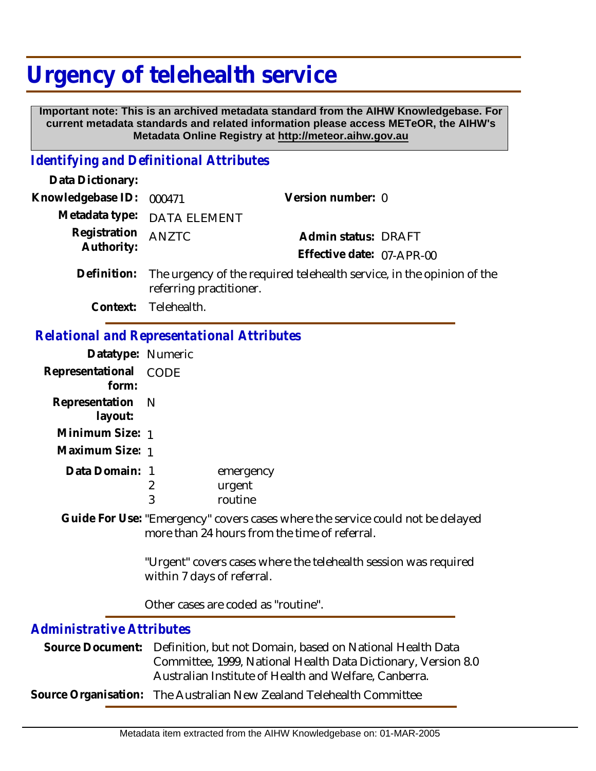## **Urgency of telehealth service**

 **Important note: This is an archived metadata standard from the AIHW Knowledgebase. For current metadata standards and related information please access METeOR, the AIHW's Metadata Online Registry at http://meteor.aihw.gov.au**

## *Identifying and Definitional Attributes*

| 000471                                | Version number: 0                                                                                                               |
|---------------------------------------|---------------------------------------------------------------------------------------------------------------------------------|
| <b>DATA ELEMENT</b>                   |                                                                                                                                 |
| <b>ANZTC</b>                          | Admin status: DRAFT<br>Effective date: 07-APR-00                                                                                |
| referring practitioner.               | The urgency of the required telehealth service, in the opinion of the                                                           |
| Telehealth.                           |                                                                                                                                 |
|                                       | <b>Relational and Representational Attributes</b>                                                                               |
| Datatype: Numeric                     |                                                                                                                                 |
| CODE                                  |                                                                                                                                 |
| N                                     |                                                                                                                                 |
| Minimum Size: 1                       |                                                                                                                                 |
| Maximum Size: 1                       |                                                                                                                                 |
| Data Domain: 1<br>$\overline{2}$<br>3 | emergency<br>urgent<br>routine                                                                                                  |
|                                       | Guide For Use: "Emergency" covers cases where the service could not be delayed<br>more than 24 hours from the time of referral. |
| within 7 days of referral.            | "Urgent" covers cases where the telehealth session was required                                                                 |
|                                       | Other cases are coded as "routine".                                                                                             |
|                                       |                                                                                                                                 |

## *Administrative Attributes*

| Source Document: Definition, but not Domain, based on National Health Data |
|----------------------------------------------------------------------------|
| Committee, 1999, National Health Data Dictionary, Version 8.0              |
| Australian Institute of Health and Welfare, Canberra.                      |
| Source Organisation: The Australian New Zealand Telehealth Committee       |